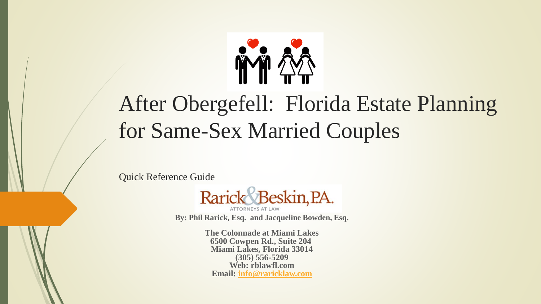

# After Obergefell: Florida Estate Planning for Same-Sex Married Couples

Quick Reference Guide



**By: Phil Rarick, Esq. and Jacqueline Bowden, Esq.**

**The Colonnade at Miami Lakes 6500 Cowpen Rd., Suite 204 Miami Lakes, Florida 33014 (305) 556-5209 Web: rblawfl.com Email: [info@raricklaw.com](mailto:info@raricklaw.com)**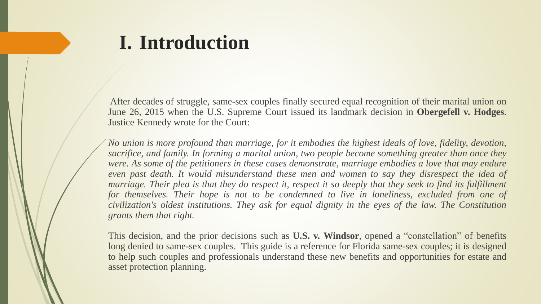## **I. Introduction**

After decades of struggle, same-sex couples finally secured equal recognition of their marital union on June 26, 2015 when the U.S. Supreme Court issued its landmark decision in **Obergefell v. Hodges**. Justice Kennedy wrote for the Court:

*No union is more profound than marriage, for it embodies the highest ideals of love, fidelity, devotion, sacrifice, and family. In forming a marital union, two people become something greater than once they were. As some of the petitioners in these cases demonstrate, marriage embodies a love that may endure even past death. It would misunderstand these men and women to say they disrespect the idea of* marriage. Their plea is that they do respect it, respect it so deeply that they seek to find its fulfillment *for themselves. Their hope is not to be condemned to live in loneliness, excluded from one of civilization's oldest institutions. They ask for equal dignity in the eyes of the law. The Constitution grants them that right.*

This decision, and the prior decisions such as **U.S. v. Windsor**, opened a "constellation" of benefits long denied to same-sex couples. This guide is a reference for Florida same-sex couples; it is designed to help such couples and professionals understand these new benefits and opportunities for estate and asset protection planning.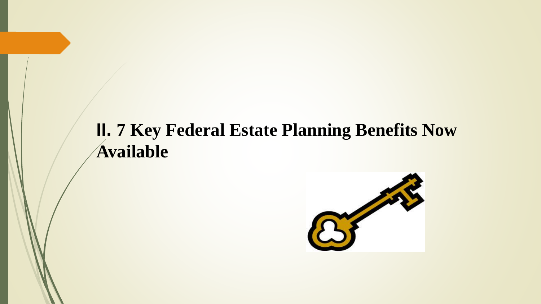## **II. 7 Key Federal Estate Planning Benefits Now Available**

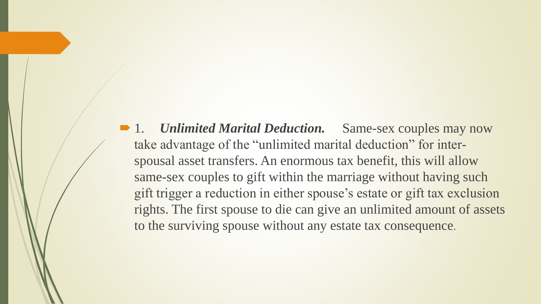■ 1. *Unlimited Marital Deduction*. Same-sex couples may now take advantage of the "unlimited marital deduction" for interspousal asset transfers. An enormous tax benefit, this will allow same-sex couples to gift within the marriage without having such gift trigger a reduction in either spouse's estate or gift tax exclusion rights. The first spouse to die can give an unlimited amount of assets to the surviving spouse without any estate tax consequence.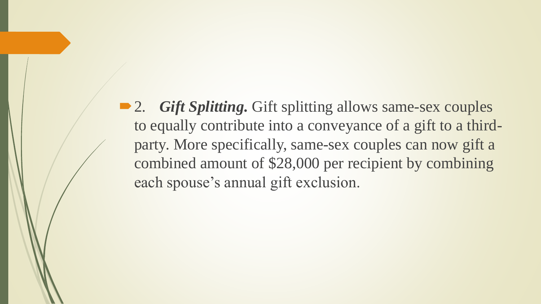■ 2. *Gift Splitting*. Gift splitting allows same-sex couples to equally contribute into a conveyance of a gift to a thirdparty. More specifically, same-sex couples can now gift a combined amount of \$28,000 per recipient by combining each spouse's annual gift exclusion.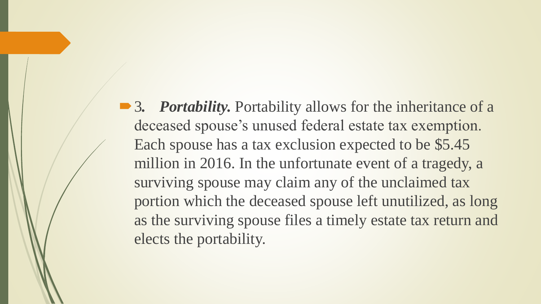■ 3. *Portability*. Portability allows for the inheritance of a deceased spouse's unused federal estate tax exemption. Each spouse has a tax exclusion expected to be \$5.45 million in 2016. In the unfortunate event of a tragedy, a surviving spouse may claim any of the unclaimed tax portion which the deceased spouse left unutilized, as long as the surviving spouse files a timely estate tax return and elects the portability.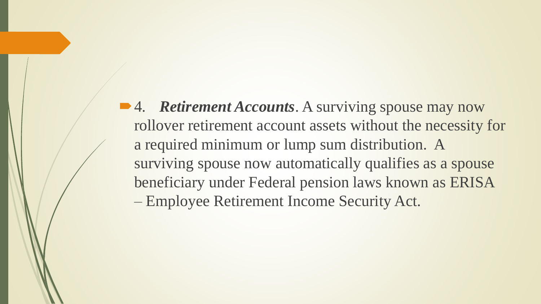**■ 4.** *Retirement Accounts*. A surviving spouse may now rollover retirement account assets without the necessity for a required minimum or lump sum distribution. A surviving spouse now automatically qualifies as a spouse beneficiary under Federal pension laws known as ERISA – Employee Retirement Income Security Act.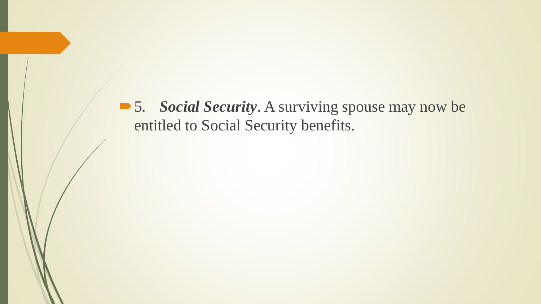■ 5. *Social Security*. A surviving spouse may now be entitled to Social Security benefits.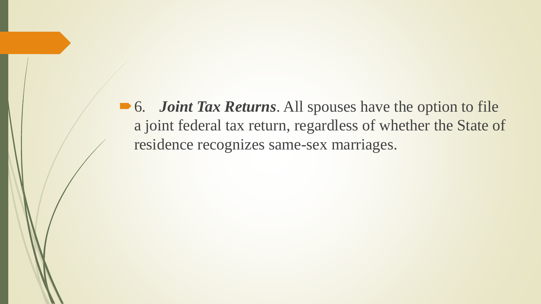■ 6. *Joint Tax Returns*. All spouses have the option to file a joint federal tax return, regardless of whether the State of residence recognizes same-sex marriages.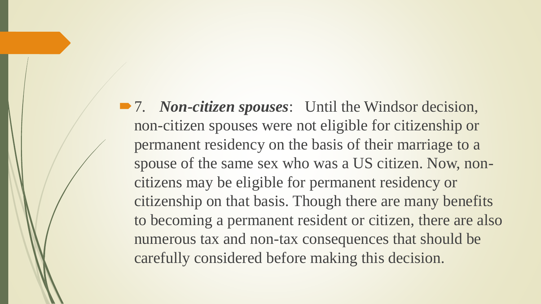■ 7. *Non-citizen spouses*: Until the Windsor decision, non-citizen spouses were not eligible for citizenship or permanent residency on the basis of their marriage to a spouse of the same sex who was a US citizen. Now, noncitizens may be eligible for permanent residency or citizenship on that basis. Though there are many benefits to becoming a permanent resident or citizen, there are also numerous tax and non-tax consequences that should be carefully considered before making this decision.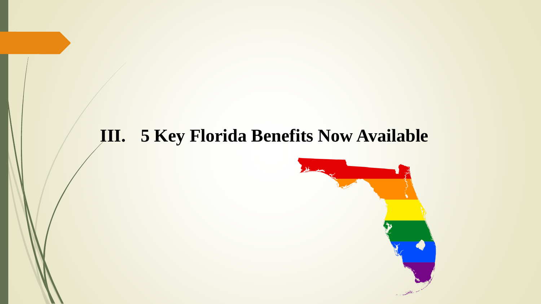#### **III. 5 Key Florida Benefits Now Available**

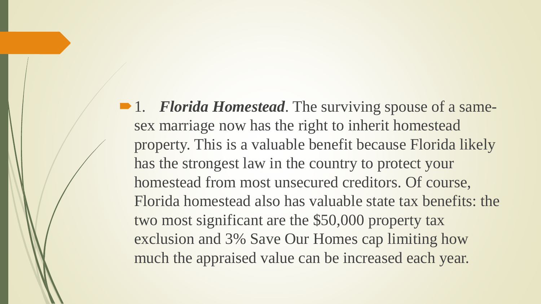1. *Florida Homestead*. The surviving spouse of a samesex marriage now has the right to inherit homestead property. This is a valuable benefit because Florida likely has the strongest law in the country to protect your homestead from most unsecured creditors. Of course, Florida homestead also has valuable state tax benefits: the two most significant are the \$50,000 property tax exclusion and 3% Save Our Homes cap limiting how much the appraised value can be increased each year.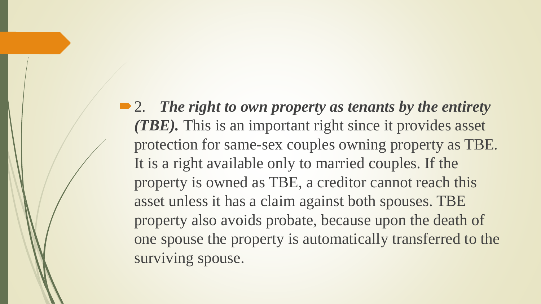■ 2. *The right to own property as tenants by the entirety (TBE).* This is an important right since it provides asset protection for same-sex couples owning property as TBE. It is a right available only to married couples. If the property is owned as TBE, a creditor cannot reach this asset unless it has a claim against both spouses. TBE property also avoids probate, because upon the death of one spouse the property is automatically transferred to the surviving spouse.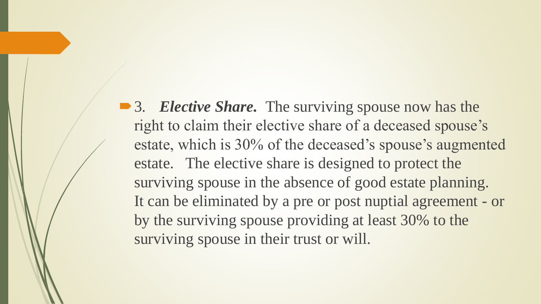■ 3. *Elective Share*. The surviving spouse now has the right to claim their elective share of a deceased spouse's estate, which is 30% of the deceased's spouse's augmented estate. The elective share is designed to protect the surviving spouse in the absence of good estate planning. It can be eliminated by a pre or post nuptial agreement - or by the surviving spouse providing at least 30% to the surviving spouse in their trust or will.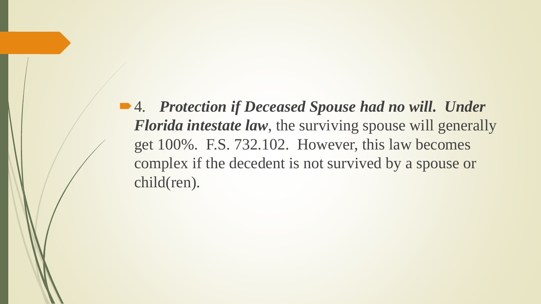4. *Protection if Deceased Spouse had no will. Under Florida intestate law*, the surviving spouse will generally get 100%. F.S. 732.102. However, this law becomes complex if the decedent is not survived by a spouse or child(ren).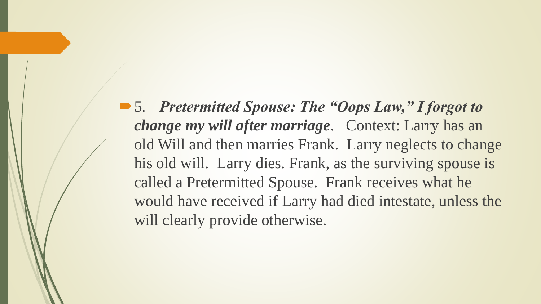■ 5. Pretermitted Spouse: The "Oops Law," I forgot to *change my will after marriage*. Context: Larry has an old Will and then marries Frank. Larry neglects to change his old will. Larry dies. Frank, as the surviving spouse is called a Pretermitted Spouse. Frank receives what he would have received if Larry had died intestate, unless the will clearly provide otherwise.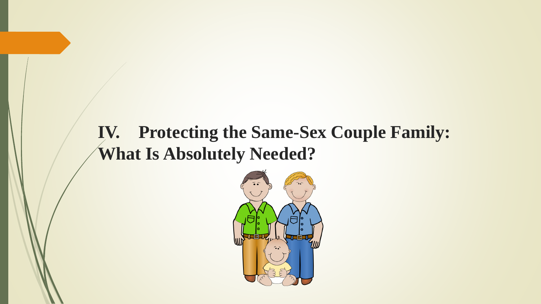#### **IV. Protecting the Same-Sex Couple Family: What Is Absolutely Needed?**

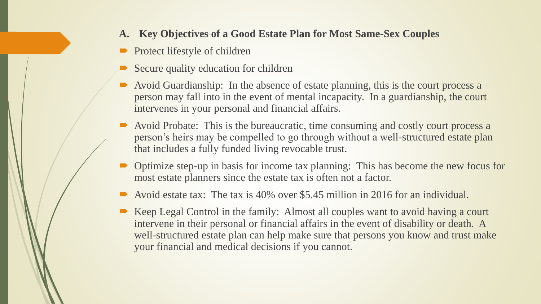- **A. Key Objectives of a Good Estate Plan for Most Same-Sex Couples**
- Protect lifestyle of children
- Secure quality education for children
- Avoid Guardianship: In the absence of estate planning, this is the court process a person may fall into in the event of mental incapacity. In a guardianship, the court intervenes in your personal and financial affairs.
- Avoid Probate: This is the bureaucratic, time consuming and costly court process a person's heirs may be compelled to go through without a well-structured estate plan that includes a fully funded living revocable trust.
- Optimize step-up in basis for income tax planning: This has become the new focus for most estate planners since the estate tax is often not a factor.
- Avoid estate tax: The tax is 40% over \$5.45 million in 2016 for an individual.
- Keep Legal Control in the family: Almost all couples want to avoid having a court intervene in their personal or financial affairs in the event of disability or death. A well-structured estate plan can help make sure that persons you know and trust make your financial and medical decisions if you cannot.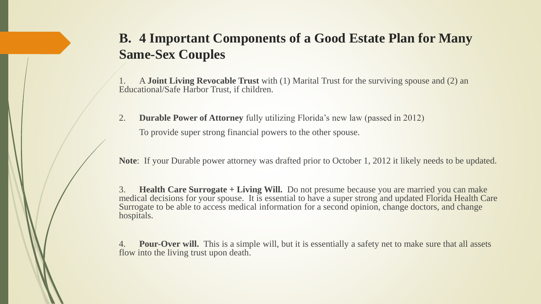#### **B. 4 Important Components of a Good Estate Plan for Many Same-Sex Couples**

1. A **Joint Living Revocable Trust** with (1) Marital Trust for the surviving spouse and (2) an Educational/Safe Harbor Trust, if children.

2. **Durable Power of Attorney** fully utilizing Florida's new law (passed in 2012) To provide super strong financial powers to the other spouse.

**Note**: If your Durable power attorney was drafted prior to October 1, 2012 it likely needs to be updated.

3. **Health Care Surrogate + Living Will.** Do not presume because you are married you can make medical decisions for your spouse. It is essential to have a super strong and updated Florida Health Care Surrogate to be able to access medical information for a second opinion, change doctors, and change hospitals.

**Pour-Over will.** This is a simple will, but it is essentially a safety net to make sure that all assets flow into the living trust upon death.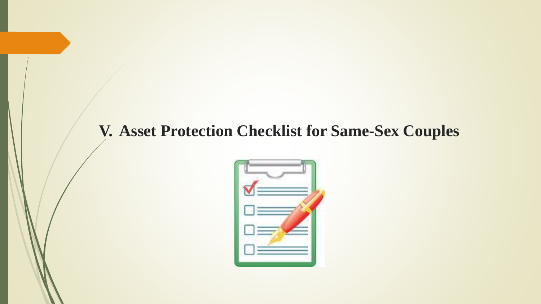#### **V. Asset Protection Checklist for Same-Sex Couples**

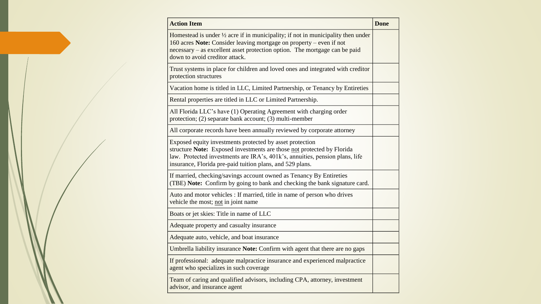| <b>Action Item</b>                                                                                                                                                                                                                                                                 | <b>Done</b> |
|------------------------------------------------------------------------------------------------------------------------------------------------------------------------------------------------------------------------------------------------------------------------------------|-------------|
| Homestead is under $\frac{1}{2}$ acre if in municipality; if not in municipality then under<br>160 acres Note: Consider leaving mortgage on property – even if not<br>necessary – as excellent asset protection option. The mortgage can be paid<br>down to avoid creditor attack. |             |
| Trust systems in place for children and loved ones and integrated with creditor<br>protection structures                                                                                                                                                                           |             |
| Vacation home is titled in LLC, Limited Partnership, or Tenancy by Entireties                                                                                                                                                                                                      |             |
| Rental properties are titled in LLC or Limited Partnership.                                                                                                                                                                                                                        |             |
| All Florida LLC's have (1) Operating Agreement with charging order<br>protection; (2) separate bank account; (3) multi-member                                                                                                                                                      |             |
| All corporate records have been annually reviewed by corporate attorney                                                                                                                                                                                                            |             |
| Exposed equity investments protected by asset protection<br>structure Note: Exposed investments are those not protected by Florida<br>law. Protected investments are IRA's, 401k's, annuities, pension plans, life<br>insurance, Florida pre-paid tuition plans, and 529 plans.    |             |
| If married, checking/savings account owned as Tenancy By Entireties<br>(TBE) Note: Confirm by going to bank and checking the bank signature card.                                                                                                                                  |             |
| Auto and motor vehicles : If married, title in name of person who drives<br>vehicle the most; not in joint name                                                                                                                                                                    |             |
| Boats or jet skies: Title in name of LLC                                                                                                                                                                                                                                           |             |
| Adequate property and casualty insurance                                                                                                                                                                                                                                           |             |
| Adequate auto, vehicle, and boat insurance                                                                                                                                                                                                                                         |             |
| Umbrella liability insurance Note: Confirm with agent that there are no gaps                                                                                                                                                                                                       |             |
| If professional: adequate malpractice insurance and experienced malpractice<br>agent who specializes in such coverage                                                                                                                                                              |             |
| Team of caring and qualified advisors, including CPA, attorney, investment<br>advisor, and insurance agent                                                                                                                                                                         |             |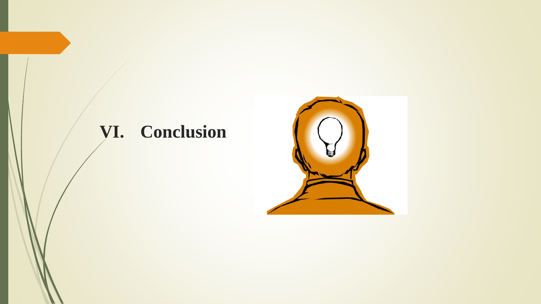# **VI. Conclusion**